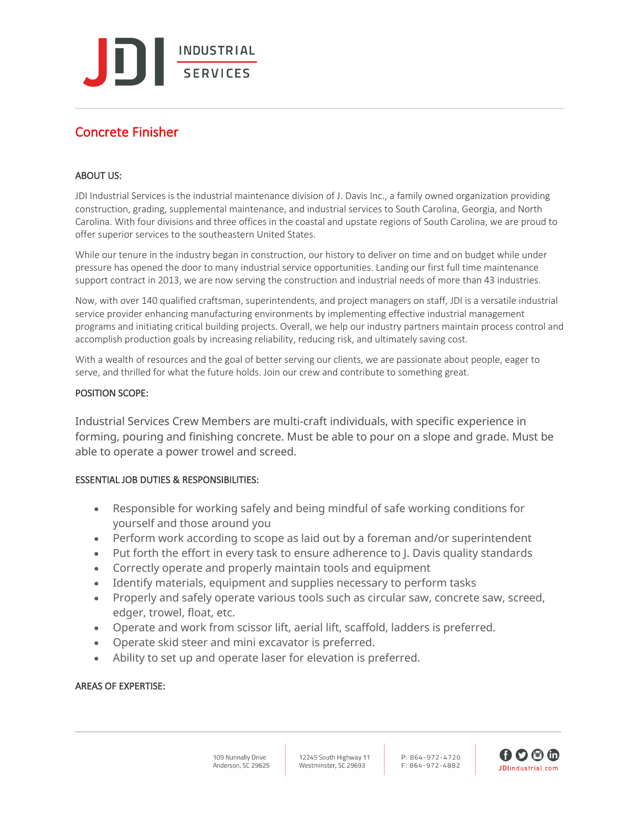**INDUSTRIAL** SERVICES

# Concrete Finisher

## ABOUT US:

JDI Industrial Services is the industrial maintenance division of J. Davis Inc., a family owned organization providing construction, grading, supplemental maintenance, and industrial services to South Carolina, Georgia, and North Carolina. With four divisions and three offices in the coastal and upstate regions of South Carolina, we are proud to offer superior services to the southeastern United States.

While our tenure in the industry began in construction, our history to deliver on time and on budget while under pressure has opened the door to many industrial service opportunities. Landing our first full time maintenance support contract in 2013, we are now serving the construction and industrial needs of more than 43 industries.

Now, with over 140 qualified craftsman, superintendents, and project managers on staff, JDI is a versatile industrial service provider enhancing manufacturing environments by implementing effective industrial management programs and initiating critical building projects. Overall, we help our industry partners maintain process control and accomplish production goals by increasing reliability, reducing risk, and ultimately saving cost.

With a wealth of resources and the goal of better serving our clients, we are passionate about people, eager to serve, and thrilled for what the future holds. Join our crew and contribute to something great.

#### POSITION SCOPE:

Industrial Services Crew Members are multi-craft individuals, with specific experience in forming, pouring and finishing concrete. Must be able to pour on a slope and grade. Must be able to operate a power trowel and screed.

## ESSENTIAL JOB DUTIES & RESPONSIBILITIES:

- Responsible for working safely and being mindful of safe working conditions for yourself and those around you
- Perform work according to scope as laid out by a foreman and/or superintendent
- Put forth the effort in every task to ensure adherence to J. Davis quality standards
- Correctly operate and properly maintain tools and equipment
- Identify materials, equipment and supplies necessary to perform tasks
- Properly and safely operate various tools such as circular saw, concrete saw, screed, edger, trowel, float, etc.
- Operate and work from scissor lift, aerial lift, scaffold, ladders is preferred.
- Operate skid steer and mini excavator is preferred.
- Ability to set up and operate laser for elevation is preferred.

## AREAS OF EXPERTISE: